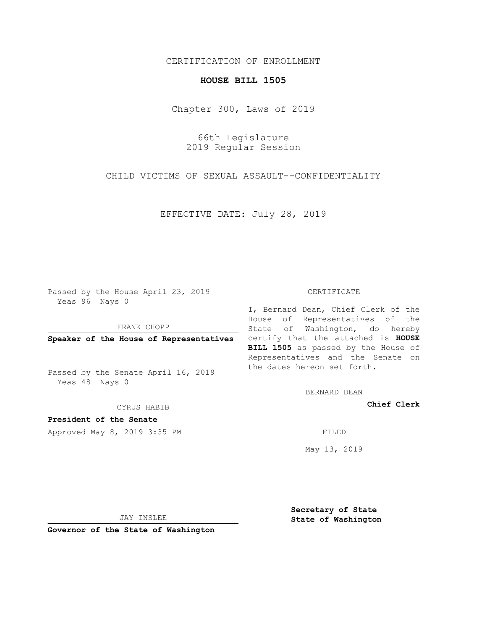## CERTIFICATION OF ENROLLMENT

## **HOUSE BILL 1505**

Chapter 300, Laws of 2019

66th Legislature 2019 Regular Session

CHILD VICTIMS OF SEXUAL ASSAULT--CONFIDENTIALITY

EFFECTIVE DATE: July 28, 2019

Passed by the House April 23, 2019 Yeas 96 Nays 0

FRANK CHOPP

Passed by the Senate April 16, 2019 Yeas 48 Nays 0

CYRUS HABIB

**President of the Senate**

Approved May 8, 2019 3:35 PM FILED

#### CERTIFICATE

**Speaker of the House of Representatives** certify that the attached is **HOUSE** I, Bernard Dean, Chief Clerk of the House of Representatives of the State of Washington, do hereby **BILL 1505** as passed by the House of Representatives and the Senate on the dates hereon set forth.

BERNARD DEAN

**Chief Clerk**

May 13, 2019

JAY INSLEE

**Governor of the State of Washington**

**Secretary of State State of Washington**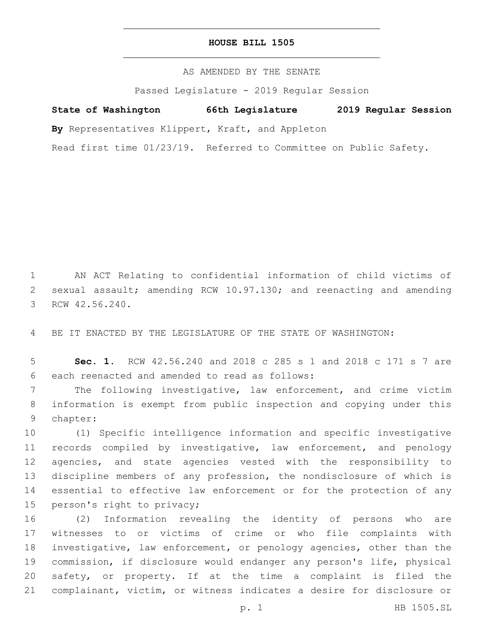### **HOUSE BILL 1505**

AS AMENDED BY THE SENATE

Passed Legislature - 2019 Regular Session

# **State of Washington 66th Legislature 2019 Regular Session**

**By** Representatives Klippert, Kraft, and Appleton

Read first time 01/23/19. Referred to Committee on Public Safety.

 AN ACT Relating to confidential information of child victims of sexual assault; amending RCW 10.97.130; and reenacting and amending 3 RCW 42.56.240.

BE IT ENACTED BY THE LEGISLATURE OF THE STATE OF WASHINGTON:

 **Sec. 1.** RCW 42.56.240 and 2018 c 285 s 1 and 2018 c 171 s 7 are 6 each reenacted and amended to read as follows:

 The following investigative, law enforcement, and crime victim information is exempt from public inspection and copying under this 9 chapter:

 (1) Specific intelligence information and specific investigative records compiled by investigative, law enforcement, and penology agencies, and state agencies vested with the responsibility to discipline members of any profession, the nondisclosure of which is essential to effective law enforcement or for the protection of any 15 person's right to privacy;

 (2) Information revealing the identity of persons who are witnesses to or victims of crime or who file complaints with investigative, law enforcement, or penology agencies, other than the commission, if disclosure would endanger any person's life, physical safety, or property. If at the time a complaint is filed the complainant, victim, or witness indicates a desire for disclosure or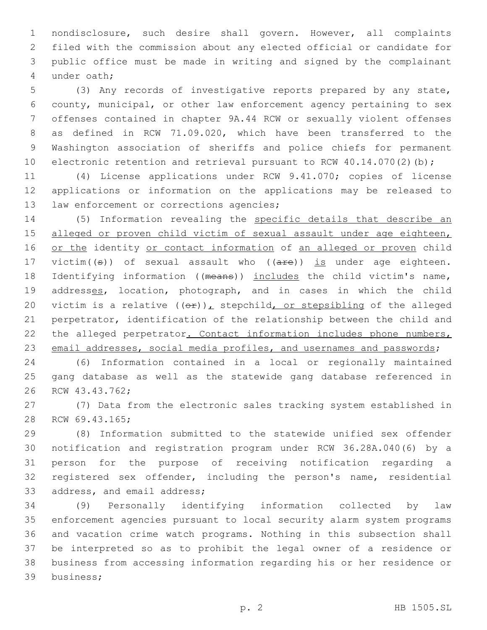nondisclosure, such desire shall govern. However, all complaints filed with the commission about any elected official or candidate for public office must be made in writing and signed by the complainant under oath;4

 (3) Any records of investigative reports prepared by any state, county, municipal, or other law enforcement agency pertaining to sex offenses contained in chapter 9A.44 RCW or sexually violent offenses as defined in RCW 71.09.020, which have been transferred to the Washington association of sheriffs and police chiefs for permanent 10 electronic retention and retrieval pursuant to RCW 40.14.070(2)(b);

11 (4) License applications under RCW 9.41.070; copies of license 12 applications or information on the applications may be released to 13 law enforcement or corrections agencies;

14 (5) Information revealing the specific details that describe an 15 alleged or proven child victim of sexual assault under age eighteen, 16 or the identity or contact information of an alleged or proven child 17 victim( $(\theta)$ ) of sexual assault who ( $(\text{are})$ ) is under age eighteen. 18 Identifying information ((means)) includes the child victim's name, 19 addresses, location, photograph, and in cases in which the child 20 victim is a relative  $((e f)_L)$  stepchild, or stepsibling of the alleged 21 perpetrator, identification of the relationship between the child and 22 the alleged perpetrator. Contact information includes phone numbers, 23 email addresses, social media profiles, and usernames and passwords;

24 (6) Information contained in a local or regionally maintained 25 gang database as well as the statewide gang database referenced in 26 RCW 43.43.762;

27 (7) Data from the electronic sales tracking system established in 28 RCW 69.43.165;

 (8) Information submitted to the statewide unified sex offender notification and registration program under RCW 36.28A.040(6) by a person for the purpose of receiving notification regarding a registered sex offender, including the person's name, residential 33 address, and email address;

 (9) Personally identifying information collected by law enforcement agencies pursuant to local security alarm system programs and vacation crime watch programs. Nothing in this subsection shall be interpreted so as to prohibit the legal owner of a residence or business from accessing information regarding his or her residence or 39 business;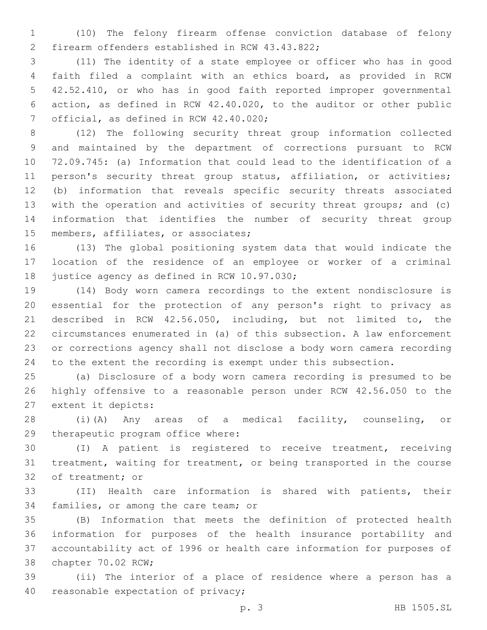(10) The felony firearm offense conviction database of felony 2 firearm offenders established in RCW 43.43.822;

 (11) The identity of a state employee or officer who has in good faith filed a complaint with an ethics board, as provided in RCW 42.52.410, or who has in good faith reported improper governmental action, as defined in RCW 42.40.020, to the auditor or other public 7 official, as defined in RCW 42.40.020;

 (12) The following security threat group information collected and maintained by the department of corrections pursuant to RCW 72.09.745: (a) Information that could lead to the identification of a 11 person's security threat group status, affiliation, or activities; (b) information that reveals specific security threats associated with the operation and activities of security threat groups; and (c) information that identifies the number of security threat group 15 members, affiliates, or associates;

 (13) The global positioning system data that would indicate the location of the residence of an employee or worker of a criminal 18 justice agency as defined in RCW 10.97.030;

 (14) Body worn camera recordings to the extent nondisclosure is essential for the protection of any person's right to privacy as described in RCW 42.56.050, including, but not limited to, the circumstances enumerated in (a) of this subsection. A law enforcement or corrections agency shall not disclose a body worn camera recording to the extent the recording is exempt under this subsection.

 (a) Disclosure of a body worn camera recording is presumed to be highly offensive to a reasonable person under RCW 42.56.050 to the 27 extent it depicts:

 (i)(A) Any areas of a medical facility, counseling, or 29 therapeutic program office where:

 (I) A patient is registered to receive treatment, receiving treatment, waiting for treatment, or being transported in the course 32 of treatment; or

 (II) Health care information is shared with patients, their 34 families, or among the care team; or

 (B) Information that meets the definition of protected health information for purposes of the health insurance portability and accountability act of 1996 or health care information for purposes of 38 chapter 70.02 RCW;

 (ii) The interior of a place of residence where a person has a 40 reasonable expectation of privacy;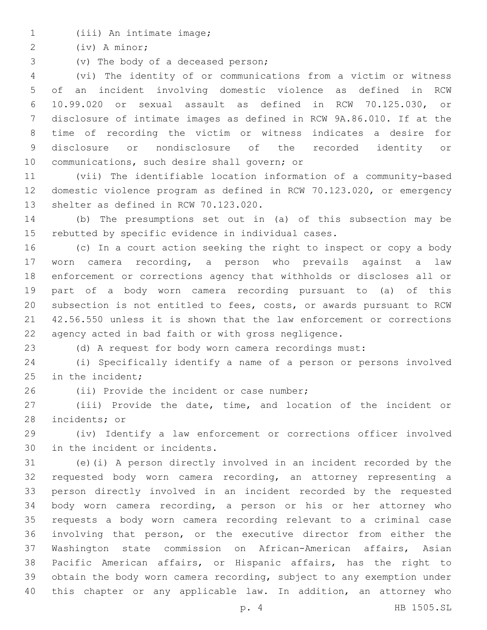(iii) An intimate image;1

(iv) A minor;2

3 (v) The body of a deceased person;

 (vi) The identity of or communications from a victim or witness of an incident involving domestic violence as defined in RCW 10.99.020 or sexual assault as defined in RCW 70.125.030, or disclosure of intimate images as defined in RCW 9A.86.010. If at the time of recording the victim or witness indicates a desire for disclosure or nondisclosure of the recorded identity or 10 communications, such desire shall govern; or

 (vii) The identifiable location information of a community-based domestic violence program as defined in RCW 70.123.020, or emergency 13 shelter as defined in RCW 70.123.020.

 (b) The presumptions set out in (a) of this subsection may be rebutted by specific evidence in individual cases.

 (c) In a court action seeking the right to inspect or copy a body worn camera recording, a person who prevails against a law enforcement or corrections agency that withholds or discloses all or part of a body worn camera recording pursuant to (a) of this subsection is not entitled to fees, costs, or awards pursuant to RCW 42.56.550 unless it is shown that the law enforcement or corrections agency acted in bad faith or with gross negligence.

(d) A request for body worn camera recordings must:

 (i) Specifically identify a name of a person or persons involved in the incident;

26 (ii) Provide the incident or case number;

 (iii) Provide the date, time, and location of the incident or 28 incidents; or

 (iv) Identify a law enforcement or corrections officer involved 30 in the incident or incidents.

 (e)(i) A person directly involved in an incident recorded by the requested body worn camera recording, an attorney representing a person directly involved in an incident recorded by the requested body worn camera recording, a person or his or her attorney who requests a body worn camera recording relevant to a criminal case involving that person, or the executive director from either the Washington state commission on African-American affairs, Asian Pacific American affairs, or Hispanic affairs, has the right to obtain the body worn camera recording, subject to any exemption under this chapter or any applicable law. In addition, an attorney who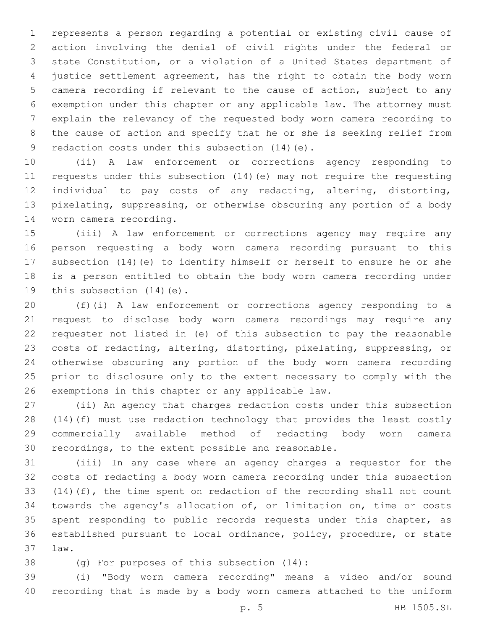represents a person regarding a potential or existing civil cause of action involving the denial of civil rights under the federal or state Constitution, or a violation of a United States department of justice settlement agreement, has the right to obtain the body worn camera recording if relevant to the cause of action, subject to any exemption under this chapter or any applicable law. The attorney must explain the relevancy of the requested body worn camera recording to the cause of action and specify that he or she is seeking relief from 9 redaction costs under this subsection (14) (e).

 (ii) A law enforcement or corrections agency responding to requests under this subsection (14)(e) may not require the requesting individual to pay costs of any redacting, altering, distorting, pixelating, suppressing, or otherwise obscuring any portion of a body 14 worn camera recording.

 (iii) A law enforcement or corrections agency may require any person requesting a body worn camera recording pursuant to this subsection (14)(e) to identify himself or herself to ensure he or she is a person entitled to obtain the body worn camera recording under 19 this subsection  $(14)(e)$ .

 (f)(i) A law enforcement or corrections agency responding to a request to disclose body worn camera recordings may require any requester not listed in (e) of this subsection to pay the reasonable costs of redacting, altering, distorting, pixelating, suppressing, or otherwise obscuring any portion of the body worn camera recording prior to disclosure only to the extent necessary to comply with the 26 exemptions in this chapter or any applicable law.

 (ii) An agency that charges redaction costs under this subsection (14)(f) must use redaction technology that provides the least costly commercially available method of redacting body worn camera recordings, to the extent possible and reasonable.

 (iii) In any case where an agency charges a requestor for the costs of redacting a body worn camera recording under this subsection (14)(f), the time spent on redaction of the recording shall not count towards the agency's allocation of, or limitation on, time or costs 35 spent responding to public records requests under this chapter, as established pursuant to local ordinance, policy, procedure, or state law.37

38 (g) For purposes of this subsection (14):

 (i) "Body worn camera recording" means a video and/or sound recording that is made by a body worn camera attached to the uniform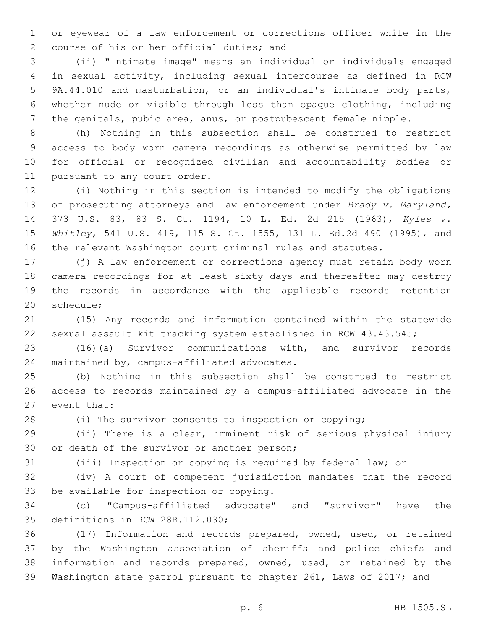or eyewear of a law enforcement or corrections officer while in the 2 course of his or her official duties; and

 (ii) "Intimate image" means an individual or individuals engaged in sexual activity, including sexual intercourse as defined in RCW 9A.44.010 and masturbation, or an individual's intimate body parts, whether nude or visible through less than opaque clothing, including the genitals, pubic area, anus, or postpubescent female nipple.

 (h) Nothing in this subsection shall be construed to restrict access to body worn camera recordings as otherwise permitted by law for official or recognized civilian and accountability bodies or 11 pursuant to any court order.

 (i) Nothing in this section is intended to modify the obligations of prosecuting attorneys and law enforcement under *Brady v. Maryland,* 373 U.S. 83, 83 S. Ct. 1194, 10 L. Ed. 2d 215 (1963), *Kyles v. Whitley*, 541 U.S. 419, 115 S. Ct. 1555, 131 L. Ed.2d 490 (1995), and the relevant Washington court criminal rules and statutes.

 (j) A law enforcement or corrections agency must retain body worn camera recordings for at least sixty days and thereafter may destroy the records in accordance with the applicable records retention 20 schedule:

 (15) Any records and information contained within the statewide sexual assault kit tracking system established in RCW 43.43.545;

 (16)(a) Survivor communications with, and survivor records 24 maintained by, campus-affiliated advocates.

 (b) Nothing in this subsection shall be construed to restrict access to records maintained by a campus-affiliated advocate in the 27 event that:

(i) The survivor consents to inspection or copying;

 (ii) There is a clear, imminent risk of serious physical injury 30 or death of the survivor or another person;

(iii) Inspection or copying is required by federal law; or

 (iv) A court of competent jurisdiction mandates that the record 33 be available for inspection or copying.

 (c) "Campus-affiliated advocate" and "survivor" have the 35 definitions in RCW 28B.112.030;

 (17) Information and records prepared, owned, used, or retained by the Washington association of sheriffs and police chiefs and information and records prepared, owned, used, or retained by the Washington state patrol pursuant to chapter 261, Laws of 2017; and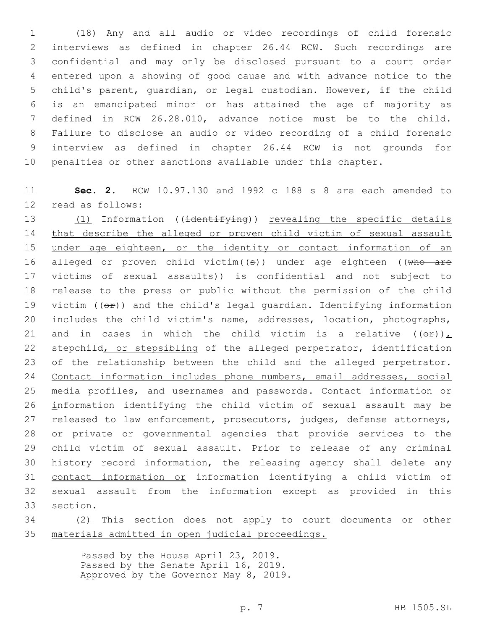(18) Any and all audio or video recordings of child forensic interviews as defined in chapter 26.44 RCW. Such recordings are confidential and may only be disclosed pursuant to a court order entered upon a showing of good cause and with advance notice to the child's parent, guardian, or legal custodian. However, if the child is an emancipated minor or has attained the age of majority as defined in RCW 26.28.010, advance notice must be to the child. Failure to disclose an audio or video recording of a child forensic interview as defined in chapter 26.44 RCW is not grounds for penalties or other sanctions available under this chapter.

 **Sec. 2.** RCW 10.97.130 and 1992 c 188 s 8 are each amended to 12 read as follows:

13 (1) Information ((identifying)) revealing the specific details that describe the alleged or proven child victim of sexual assault 15 under age eighteen, or the identity or contact information of an 16 alleged or proven child victim( $(s)$ ) under age eighteen ((who are 17 victims of sexual assaults)) is confidential and not subject to release to the press or public without the permission of the child 19 victim  $(\Theta \pm \Theta)$  and the child's legal guardian. Identifying information includes the child victim's name, addresses, location, photographs, 21 and in cases in which the child victim is a relative  $((\Theta \oplus))$ , 22 stepchild, or stepsibling of the alleged perpetrator, identification 23 of the relationship between the child and the alleged perpetrator. Contact information includes phone numbers, email addresses, social media profiles, and usernames and passwords. Contact information or information identifying the child victim of sexual assault may be 27 released to law enforcement, prosecutors, judges, defense attorneys, or private or governmental agencies that provide services to the child victim of sexual assault. Prior to release of any criminal history record information, the releasing agency shall delete any contact information or information identifying a child victim of sexual assault from the information except as provided in this section.

 (2) This section does not apply to court documents or other materials admitted in open judicial proceedings.

> Passed by the House April 23, 2019. Passed by the Senate April 16, 2019. Approved by the Governor May 8, 2019.